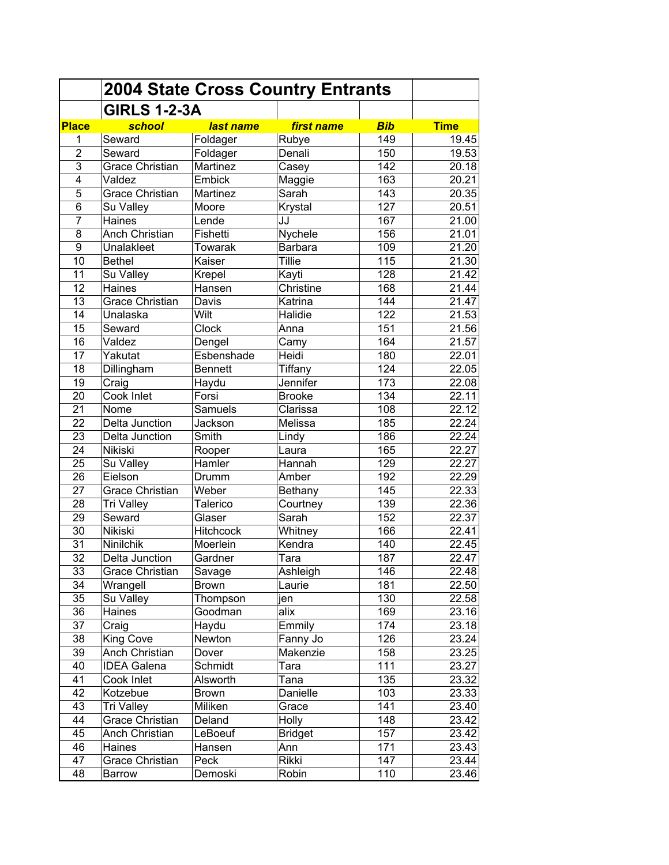|                 | <b>2004 State Cross Country Entrants</b> |                  |                    |            |                |
|-----------------|------------------------------------------|------------------|--------------------|------------|----------------|
|                 | <b>GIRLS 1-2-3A</b>                      |                  |                    |            |                |
| <b>Place</b>    | school                                   | last name        | first name         | <b>Bib</b> | <b>Time</b>    |
| 1               | Seward                                   | Foldager         | Rubye              | 149        | 19.45          |
| $\overline{2}$  | Seward                                   | Foldager         | Denali             | 150        | 19.53          |
| $\overline{3}$  | Grace Christian                          | Martinez         | Casey              | 142        | 20.18          |
| $\overline{4}$  | Valdez                                   | Embick           | Maggie             | 163        | 20.21          |
| $\overline{5}$  | <b>Grace Christian</b>                   | Martinez         | Sarah              | 143        | 20.35          |
| $\overline{6}$  | Su Valley                                | Moore            | Krystal            | 127        | 20.51          |
| $\overline{7}$  | Haines                                   | Lende            | JJ                 | 167        | 21.00          |
| 8               | Anch Christian                           | Fishetti         | Nychele            | 156        | 21.01          |
| $\overline{9}$  | Unalakleet                               | Towarak          | <b>Barbara</b>     | 109        | 21.20          |
| 10              | <b>Bethel</b>                            | Kaiser           | <b>Tillie</b>      | 115        | 21.30          |
| 11              | Su Valley                                | Krepel           | Kayti              | 128        | 21.42          |
| 12              | Haines                                   | Hansen           | Christine          | 168        | 21.44          |
| 13              | <b>Grace Christian</b>                   | Davis            | Katrina            | 144        | 21.47          |
| 14              | Unalaska                                 | Wilt             | Halidie            | 122        | 21.53          |
| 15              | Seward                                   | Clock            | Anna               | 151        | 21.56          |
| 16              | Valdez                                   | Dengel           | Camy               | 164        | 21.57          |
| 17              | Yakutat                                  | Esbenshade       | Heidi              | 180        | 22.01          |
| 18              | Dillingham                               | <b>Bennett</b>   | Tiffany            | 124        | 22.05          |
| $\overline{19}$ | Craig                                    | Haydu            | Jennifer           | 173        | 22.08          |
| $\overline{20}$ | Cook Inlet                               | Forsi            | <b>Brooke</b>      | 134        | 22.11          |
| $\overline{21}$ | Nome                                     | <b>Samuels</b>   | Clarissa           | 108        | 22.12          |
| $\overline{22}$ | Delta Junction                           | Jackson          | Melissa            | 185        | 22.24          |
| 23              | Delta Junction                           | Smith            | Lindy              | 186        | 22.24          |
| $\overline{24}$ | Nikiski                                  | Rooper           | Laura              | 165        | 22.27          |
| 25              | Su Valley                                | Hamler           | Hannah             | 129        | 22.27          |
| 26              | Eielson                                  | Drumm            | Amber              | 192        | 22.29          |
| 27              | <b>Grace Christian</b>                   | Weber            | Bethany            | 145        | 22.33          |
| 28              | <b>Tri Valley</b>                        | Talerico         | Courtney           | 139        | 22.36          |
| 29              | Seward                                   | Glaser           | Sarah              | 152        | 22.37          |
| 30              | Nikiski                                  | <b>Hitchcock</b> | Whitney            | 166        | 22.41          |
| 31              | Ninilchik                                | Moerlein         | Kendra             | 140        | 22.45          |
| 32              | Delta Junction                           | Gardner          | Tara               | 187        | 22.47          |
| 33              |                                          |                  |                    | 146        |                |
| 34              | Grace Christian                          | Savage           | Ashleigh<br>Laurie | 181        | 22.48<br>22.50 |
| 35              | Wrangell<br>Su Valley                    | <b>Brown</b>     |                    | 130        | 22.58          |
| 36              |                                          | Thompson         | jen<br>alix        | 169        |                |
| 37              | Haines                                   | Goodman          |                    |            | 23.16          |
|                 | Craig                                    | Haydu            | Emmily             | 174        | 23.18          |
| 38<br>39        | King Cove                                | Newton           | Fanny Jo           | 126        | 23.24          |
|                 | Anch Christian                           | Dover            | Makenzie           | 158        | 23.25          |
| 40              | <b>IDEA Galena</b>                       | Schmidt          | Tara               | 111        | 23.27          |
| 41              | Cook Inlet                               | Alsworth         | Tana               | 135        | 23.32          |
| 42              | Kotzebue                                 | <b>Brown</b>     | Danielle           | 103        | 23.33          |
| 43              | <b>Tri Valley</b>                        | Miliken          | Grace              | 141        | 23.40          |
| 44              | <b>Grace Christian</b>                   | Deland           | <b>Holly</b>       | 148        | 23.42          |
| 45              | Anch Christian                           | LeBoeuf          | <b>Bridget</b>     | 157        | 23.42          |
| 46              | Haines                                   | Hansen           | Ann                | 171        | 23.43          |
| 47              | Grace Christian                          | Peck             | Rikki              | 147        | 23.44          |
| 48              | Barrow                                   | Demoski          | Robin              | 110        | 23.46          |